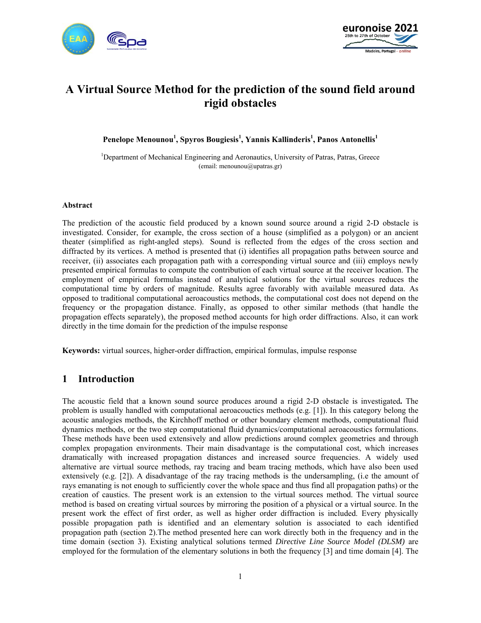



# **A Virtual Source Method for the prediction of the sound field around rigid obstacles**

**Penelope Menounou<sup>1</sup> , Spyros Bougiesis<sup>1</sup> , Yannis Kallinderis<sup>1</sup> , Panos Antonellis1**

<sup>1</sup>Department of Mechanical Engineering and Aeronautics, University of Patras, Patras, Greece (email: menounou@upatras.gr)

### **Abstract**

The prediction of the acoustic field produced by a known sound source around a rigid 2-D obstacle is investigated. Consider, for example, the cross section of a house (simplified as a polygon) or an ancient theater (simplified as right-angled steps). Sound is reflected from the edges of the cross section and diffracted by its vertices. A method is presented that (i) identifies all propagation paths between source and receiver, (ii) associates each propagation path with a corresponding virtual source and (iii) employs newly presented empirical formulas to compute the contribution of each virtual source at the receiver location. The employment of empirical formulas instead of analytical solutions for the virtual sources reduces the computational time by orders of magnitude. Results agree favorably with available measured data. As opposed to traditional computational aeroacoustics methods, the computational cost does not depend on the frequency or the propagation distance. Finally, as opposed to other similar methods (that handle the propagation effects separately), the proposed method accounts for high order diffractions. Also, it can work directly in the time domain for the prediction of the impulse response

**Keywords:** virtual sources, higher-order diffraction, empirical formulas, impulse response

# **1 Introduction**

The acoustic field that a known sound source produces around a rigid 2-D obstacle is investigated**.** The problem is usually handled with computational aeroacouctics methods (e.g. [1]). In this category belong the acoustic analogies methods, the Kirchhoff method or other boundary element methods, computational fluid dynamics methods, or the two step computational fluid dynamics/computational aeroacoustics formulations. These methods have been used extensively and allow predictions around complex geometries and through complex propagation environments. Their main disadvantage is the computational cost, which increases dramatically with increased propagation distances and increased source frequencies. A widely used alternative are virtual source methods, ray tracing and beam tracing methods, which have also been used extensively (e.g. [2]). A disadvantage of the ray tracing methods is the undersampling, (i.e the amount of rays emanating is not enough to sufficiently cover the whole space and thus find all propagation paths) or the creation of caustics. The present work is an extension to the virtual sources method. The virtual source method is based on creating virtual sources by mirroring the position of a physical or a virtual source. In the present work the effect of first order, as well as higher order diffraction is included. Every physically possible propagation path is identified and an elementary solution is associated to each identified propagation path (section 2).The method presented here can work directly both in the frequency and in the time domain (section 3). Existing analytical solutions termed *Directive Line Source Model (DLSM)* are employed for the formulation of the elementary solutions in both the frequency [3] and time domain [4]. The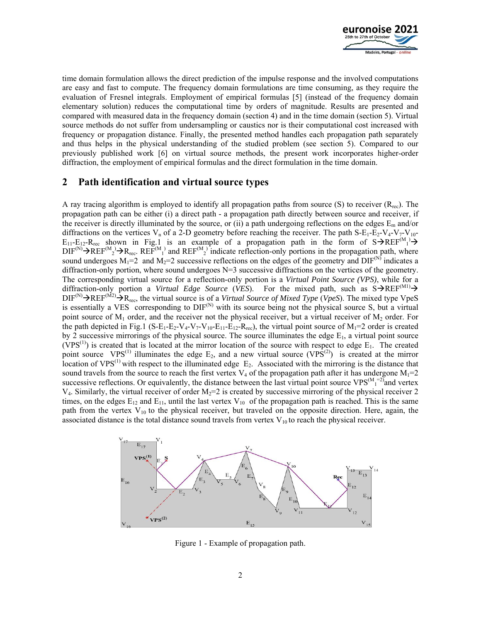

time domain formulation allows the direct prediction of the impulse response and the involved computations are easy and fast to compute. The frequency domain formulations are time consuming, as they require the evaluation of Fresnel integrals. Employment of empirical formulas [5] (instead of the frequency domain elementary solution) reduces the computational time by orders of magnitude. Results are presented and compared with measured data in the frequency domain (section 4) and in the time domain (section 5). Virtual source methods do not suffer from undersampling or caustics nor is their computational cost increased with frequency or propagation distance. Finally, the presented method handles each propagation path separately and thus helps in the physical understanding of the studied problem (see section 5). Compared to our previously published work [6] on virtual source methods, the present work incorporates higher-order diffraction, the employment of empirical formulas and the direct formulation in the time domain.

# **2 Path identification and virtual source types**

A ray tracing algorithm is employed to identify all propagation paths from source  $(S)$  to receiver  $(R_{rec})$ . The propagation path can be either (i) a direct path - a propagation path directly between source and receiver, if the receiver is directly illuminated by the source, or (ii) a path undergoing reflections on the edges  $E_m$  and/or diffractions on the vertices  $V_n$  of a 2-D geometry before reaching the receiver. The path  $S-E_1-E_2-V_4-V_7-V_{10}$  $E_{11}-E_{12}-R_{\text{rec}}$  shown in Fig.1 is an example of a propagation path in the form of  $S\rightarrow$ REF<sup>(M</sup><sub>1</sub>)  $\rightarrow$  $\text{DIF}^{(N)}\to\text{REF}^{(M)}$   $\to$  R<sub>rec</sub>. REF<sup>(M<sub>1</sub>)</sub> and REF<sup>(M<sub>2</sub>)</sub> indicate reflection-only portions in the propagation path, where</sup></sup> sound undergoes  $M_1=2$  and  $M_2=2$  successive reflections on the edges of the geometry and  $DIF^{(N)}$  indicates a diffraction-only portion, where sound undergoes  $N=3$  successive diffractions on the vertices of the geometry. The corresponding virtual source for a reflection-only portion is a *Virtual Point Source (VPS)*, while for a diffraction-only portion a *Virtual Edge Source* (*VES*). For the mixed path, such as  $S\rightarrow$ REF<sup>(M1)</sup> $\rightarrow$  $DIF^{(N)}\rightarrow REF^{(M2)}\rightarrow R_{rec}$ , the virtual source is of a *Virtual Source of Mixed Type* (*VpeS*). The mixed type VpeS is essentially a VES corresponding to  $DIF^{(N)}$  with its source being not the physical source S, but a virtual point source of  $M_1$  order, and the receiver not the physical receiver, but a virtual receiver of  $M_2$  order. For the path depicted in Fig.1 (S-E<sub>1</sub>-E<sub>2</sub>-V<sub>4</sub>-V<sub>7</sub>-V<sub>10</sub>-E<sub>11</sub>-E<sub>12</sub>-R<sub>rec</sub>), the virtual point source of M<sub>1</sub>=2 order is created by 2 successive mirrorings of the physical source. The source illuminates the edge  $E_1$ , a virtual point source (VPS<sup>(1)</sup>) is created that is located at the mirror location of the source with respect to edge  $E_1$ . The created point source VPS<sup>(1)</sup> illuminates the edge  $E_2$ , and a new virtual source (VPS<sup>(2)</sup>) is created at the mirror location of  $VPS^{(1)}$  with respect to the illuminated edge  $E_2$ . Associated with the mirroring is the distance that sound travels from the source to reach the first vertex  $V_4$  of the propagation path after it has undergone  $M_1=2$ successive reflections. Or equivalently, the distance between the last virtual point source  $VPS^{(M-2)}_{1}$  and vertex  $V_4$ . Similarly, the virtual receiver of order  $M_2=2$  is created by successive mirroring of the physical receiver 2 times, on the edges  $E_{12}$  and  $E_{11}$ , until the last vertex  $V_{10}$  of the propagation path is reached. This is the same path from the vertex  $V_{10}$  to the physical receiver, but traveled on the opposite direction. Here, again, the associated distance is the total distance sound travels from vertex  $V_{10}$  to reach the physical receiver.



Figure 1 - Example of propagation path.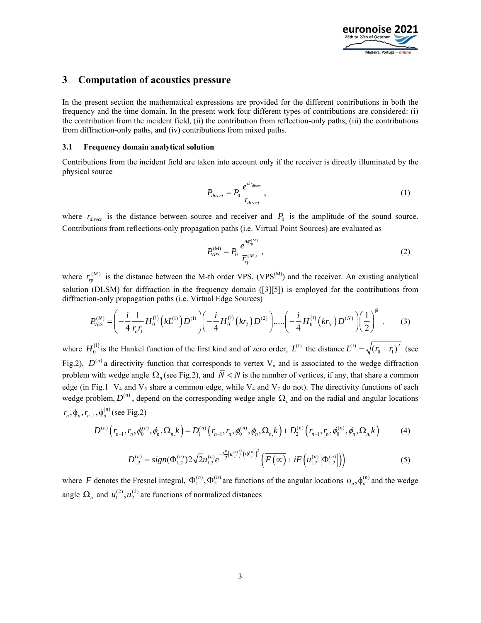

### **3 Computation of acoustics pressure**

In the present section the mathematical expressions are provided for the different contributions in both the frequency and the time domain. In the present work four different types of contributions are considered: (i) the contribution from the incident field, (ii) the contribution from reflection-only paths, (iii) the contributions from diffraction-only paths, and (iv) contributions from mixed paths.

### **3.1 Frequency domain analytical solution**

Contributions from the incident field are taken into account only if the receiver is directly illuminated by the physical source

$$
P_{direct} = P_0 \frac{e^{ikr_{direct}}}{r_{direct}},
$$
\n(1)

where  $r_{direct}$  is the distance between source and receiver and  $P_0$  is the amplitude of the sound source. Contributions from reflections-only propagation paths (i.e. Virtual Point Sources) are evaluated as

$$
P_{VPS}^{(M)} = P_0 \frac{e^{ik\overline{r}_{p}^{(M)}}}{\overline{r}_{rp}^{(M)}},
$$
\n(2)

where  $\overline{r}_p^{(M)}$  is the distance between the M-th order VPS, (VPS<sup>(M)</sup>) and the receiver. An existing analytical solution (DLSM) for diffraction in the frequency domain ([3][5]) is employed for the contributions from diffraction-only propagation paths (i.e. Virtual Edge Sources)

$$
P_{VES}^{(N)} = \left(-\frac{i}{4}\frac{1}{r_o r_1}H_0^{(1)}(kL^{(1)})D^{(1)}\right)\left(-\frac{i}{4}H_0^{(1)}(kr_2)D^{(2)}\right)\cdots\left(-\frac{i}{4}H_0^{(1)}(kr_N)D^{(N)}\right)\left(\frac{1}{2}\right)^N, \qquad (3)
$$

where  $H_0^{(1)}$  is the Hankel function of the first kind and of zero order,  $L^{(1)}$  the distance  $L^{(1)} = \sqrt{(r_0 + r_1)^2}$  (see Fig.2),  $D^{(n)}$  a directivity function that corresponds to vertex V<sub>n</sub> and is associated to the wedge diffraction problem with wedge angle  $\Omega_n$  (see Fig.2), and  $\overline{N}$  < N is the number of vertices, if any, that share a common edge (in Fig.1  $V_4$  and  $V_5$  share a common edge, while  $V_4$  and  $V_7$  do not). The directivity functions of each wedge problem,  $D^{(n)}$ , depend on the corresponding wedge angle  $\Omega_n$  and on the radial and angular locations  $r_n, \phi_n, r_{n-1}, \phi_o^{(n)}$  (see Fig.2)

$$
D^{(n)}\left(r_{n-1},r_n,\phi_0^{(n)},\phi_n,\Omega_{n,k}\right) = D_1^{(n)}\left(r_{n-1},r_n,\phi_0^{(n)},\phi_n,\Omega_{n,k}\right) + D_2^{(n)}\left(r_{n-1},r_n,\phi_0^{(n)},\phi_n,\Omega_{n,k}\right) \tag{4}
$$

$$
D_{1,2}^{(n)} = sign(\Phi_{1,2}^{(n)}) 2\sqrt{2}u_{1,2}^{(n)}e^{-i\frac{\pi}{2}(u_{1,2}^{(n)})^2(\Phi_{1,2}^{(n)})^2}\left(\overline{F(\infty)} + iF\left(u_{1,2}^{(n)}\left|\Phi_{1,2}^{(n)}\right|\right)\right) \tag{5}
$$

where F denotes the Fresnel integral,  $\Phi_1^{(n)}$ ,  $\Phi_2^{(n)}$  are functions of the angular locations  $\phi_n$ ,  $\phi_o^{(n)}$  and the wedge angle  $\Omega_n$  and  $u_1^{(2)}$ ,  $u_2^{(2)}$  are functions of normalized distances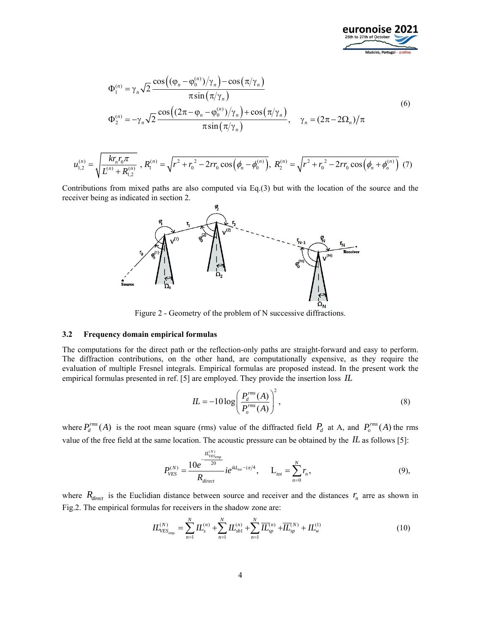

$$
\Phi_1^{(n)} = \gamma_n \sqrt{2} \frac{\cos((\varphi_n - \varphi_0^{(n)})/\gamma_n) - \cos(\pi/\gamma_n)}{\pi \sin(\pi/\gamma_n)} \n\Phi_2^{(n)} = -\gamma_n \sqrt{2} \frac{\cos((2\pi - \varphi_n - \varphi_0^{(n)})/\gamma_n) + \cos(\pi/\gamma_n)}{\pi \sin(\pi/\gamma_n)}, \quad \gamma_n = (2\pi - 2\Omega_n)/\pi
$$
\n(6)

$$
u_{1,2}^{(n)} = \sqrt{\frac{k r_n r_0 \pi}{L^{(n)} + R_{1,2}^{(n)}}}, R_1^{(n)} = \sqrt{r^2 + r_0^2 - 2rr_0 \cos\left(\phi_n - \phi_0^{(n)}\right)}, R_2^{(n)} = \sqrt{r^2 + r_0^2 - 2rr_0 \cos\left(\phi_n + \phi_0^{(n)}\right)}
$$
(7)

Contributions from mixed paths are also computed via Eq.(3) but with the location of the source and the receiver being as indicated in section 2.



Figure 2 - Geometry of the problem of N successive diffractions.

#### **3.2 Frequency domain empirical formulas**

The computations for the direct path or the reflection-only paths are straight-forward and easy to perform. The diffraction contributions, on the other hand, are computationally expensive, as they require the evaluation of multiple Fresnel integrals. Empirical formulas are proposed instead. In the present work the empirical formulas presented in ref. [5] are employed. They provide the insertion loss *IL*

$$
IL = -10 \log \left( \frac{P_d^{rms}(A)}{P_o^{rms}(A)} \right)^2, \tag{8}
$$

where  $P_d^{rms}(A)$  is the root mean square (rms) value of the diffracted field  $P_d$  at A, and  $P_o^{rms}(A)$  the rms value of the free field at the same location. The acoustic pressure can be obtained by the *IL* as follows [5]:

$$
P_{VES}^{(N)} = \frac{10e^{-\frac{IL_{VES_{emp}}^{(N)}}{20}}}{R_{direct}} i e^{ikL_{tot} - i\pi/4}, \qquad L_{tot} = \sum_{n=0}^{N} r_n,
$$
\n(9),

where  $R_{direct}$  is the Euclidian distance between source and receiver and the distances  $r_n$  arre as shown in Fig.2. The empirical formulas for receivers in the shadow zone are:

$$
IL_{VES_{emp}}^{(N)} = \sum_{n=1}^{N} IL_s^{(n)} + \sum_{n=1}^{N} IL_{sb1}^{(n)} + \sum_{n=1}^{N} \overline{IL}_{sp}^{(n)} + \overline{IL}_{sp}^{(N)} + IL_w^{(1)}
$$
(10)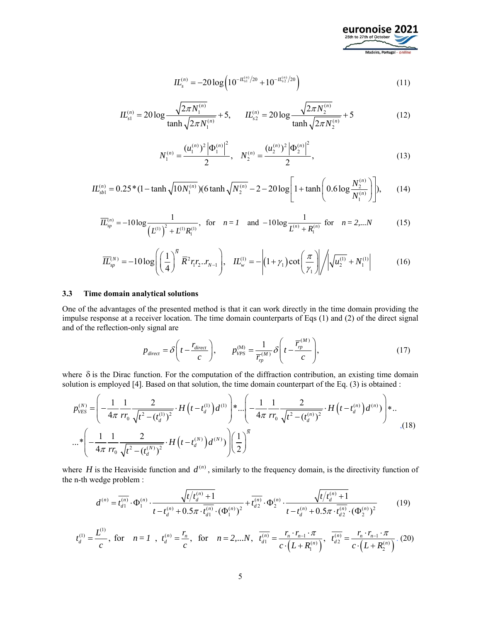

$$
IL_s^{(n)} = -20\log\left(10^{-lL_{s1}^{(n)}/20} + 10^{-lL_{s2}^{(n)}/20}\right)
$$
\n(11)

$$
IL_{s1}^{(n)} = 20 \log \frac{\sqrt{2\pi N_1^{(n)}}}{\tanh \sqrt{2\pi N_1^{(n)}}} + 5, \qquad IL_{s2}^{(n)} = 20 \log \frac{\sqrt{2\pi N_2^{(n)}}}{\tanh \sqrt{2\pi N_2^{(n)}}} + 5
$$
(12)

$$
N_1^{(n)} = \frac{(u_1^{(n)})^2 |\Phi_1^{(n)}|^2}{2}, \quad N_2^{(n)} = \frac{(u_2^{(n)})^2 |\Phi_2^{(n)}|^2}{2}, \tag{13}
$$

$$
IL_{sb1}^{(n)} = 0.25*(1 - \tanh\sqrt{10N_1^{(n)}})(6\tanh\sqrt{N_2^{(n)}} - 2 - 20\log\left[1 + \tanh\left(0.6\log\frac{N_2^{(n)}}{N_1^{(n)}}\right)\right],\tag{14}
$$

$$
\overline{IL}_{sp}^{(n)} = -10\log \frac{1}{\left(L^{(1)}\right)^{2} + L^{(1)}R_{1}^{(1)}}, \text{ for } n = 1 \text{ and } -10\log \frac{1}{L^{(n)} + R_{1}^{(n)}} \text{ for } n = 2,...N
$$
 (15)

$$
\overline{IL}_{sp}^{(N)} = -10 \log \left( \left( \frac{1}{4} \right)^{\overline{N}} \overline{R}^{2} r_{1} r_{2} ... r_{N-1} \right), \quad IL_{w}^{(1)} = - \left| (1 + \gamma_{1}) \cot \left( \frac{\pi}{\gamma_{1}} \right) \right| / \left| \sqrt{u_{2}^{(1)}} + N_{1}^{(1)} \right| \tag{16}
$$

### **3.3 Time domain analytical solutions**

One of the advantages of the presented method is that it can work directly in the time domain providing the impulse response at a receiver location. The time domain counterparts of Eqs (1) and (2) of the direct signal and of the reflection-only signal are

$$
p_{direct} = \delta \left( t - \frac{r_{direct}}{c} \right), \qquad p_{VPS}^{(M)} = \frac{1}{\overline{r}_{rp}^{(M)}} \delta \left( t - \frac{\overline{r}_{rp}^{(M)}}{c} \right), \tag{17}
$$

where  $\delta$  is the Dirac function. For the computation of the diffraction contribution, an existing time domain solution is employed [4]. Based on that solution, the time domain counterpart of the Eq. (3) is obtained :

$$
p_{\text{VES}}^{(N)} = \left( -\frac{1}{4\pi} \frac{1}{rr_0} \frac{2}{\sqrt{t^2 - (t_d^{(1)})^2}} \cdot H\left(t - t_d^{(1)}\right) d^{(1)}\right) * \dots \left( -\frac{1}{4\pi} \frac{1}{rr_0} \frac{2}{\sqrt{t^2 - (t_d^{(n)})^2}} \cdot H\left(t - t_d^{(n)}\right) d^{(n)}\right) * \dots
$$
  
 
$$
\dots * \left( -\frac{1}{4\pi} \frac{1}{rr_0} \frac{2}{\sqrt{t^2 - (t_d^{(N)})^2}} \cdot H\left(t - t_d^{(N)}\right) d^{(N)}\right) \left( \frac{1}{2} \right)^{\bar{N}}
$$
 (18)

where *H* is the Heaviside function and  $d^{(n)}$ , similarly to the frequency domain, is the directivity function of the n-th wedge problem :

$$
d^{(n)} = \overline{t_{d1}^{(n)}} \cdot \Phi_1^{(n)} \cdot \frac{\sqrt{t/t_d^{(n)}+1}}{t-t_d^{(n)}+0.5\pi \cdot \overline{t_{d1}^{(n)}} \cdot (\Phi_1^{(n)})^2} + \overline{t_{d2}^{(n)}} \cdot \Phi_2^{(n)} \cdot \frac{\sqrt{t/t_d^{(n)}+1}}{t-t_d^{(n)}+0.5\pi \cdot \overline{t_{d2}^{(n)}} \cdot (\Phi_2^{(n)})^2}
$$
(19)

$$
t_d^{(1)} = \frac{L^{(1)}}{c}, \text{ for } n = 1, t_d^{(n)} = \frac{r_n}{c}, \text{ for } n = 2,...N, \overline{t_{d1}^{(n)}} = \frac{r_n \cdot r_{n-1} \cdot \pi}{c \cdot \left(L + R_1^{(n)}\right)}, \overline{t_{d2}^{(n)}} = \frac{r_n \cdot r_{n-1} \cdot \pi}{c \cdot \left(L + R_2^{(n)}\right)}.
$$
 (20)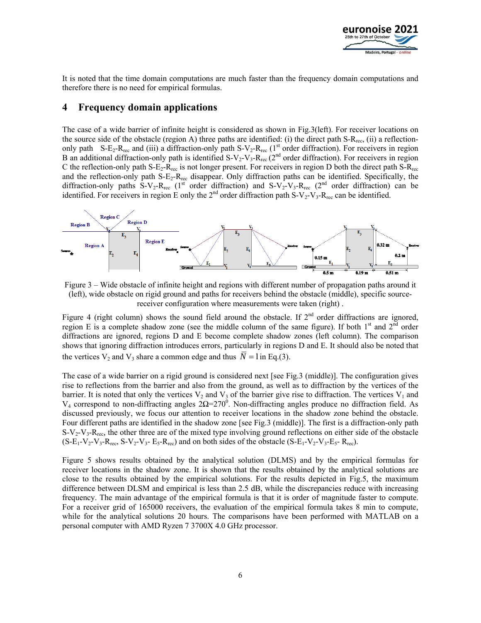

It is noted that the time domain computations are much faster than the frequency domain computations and therefore there is no need for empirical formulas.

# **4 Frequency domain applications**

The case of a wide barrier of infinite height is considered as shown in Fig.3(left). For receiver locations on the source side of the obstacle (region A) three paths are identified: (i) the direct path  $S-R_{\text{rec}}$ , (ii) a reflectiononly path S-E<sub>2</sub>-R<sub>rec</sub> and (iii) a diffraction-only path S-V<sub>2</sub>-R<sub>rec</sub> (1<sup>st</sup> order diffraction). For receivers in region B an additional diffraction-only path is identified  $S-V_2-V_3$ -R<sub>rec</sub> (2<sup>nd</sup> order diffraction). For receivers in region C the reflection-only path  $S-E_2-R_{rec}$  is not longer present. For receivers in region D both the direct path  $S-R_{rec}$ and the reflection-only path S-E<sub>2</sub>-R<sub>rec</sub> disappear. Only diffraction paths can be identified. Specifically, the diffraction-only paths S-V<sub>2</sub>-R<sub>rec</sub> (1<sup>st</sup> order diffraction) and S-V<sub>2</sub>-V<sub>3</sub>-R<sub>rec</sub> (2<sup>nd</sup> order diffraction) can be identified. For receivers in region E only the  $2^{nd}$  order diffraction path S-V<sub>2</sub>-V<sub>3</sub>-R<sub>rec</sub> can be identified.



Figure 3 – Wide obstacle of infinite height and regions with different number of propagation paths around it (left), wide obstacle on rigid ground and paths for receivers behind the obstacle (middle), specific sourcereceiver configuration where measurements were taken (right) .

Figure 4 (right column) shows the sound field around the obstacle. If  $2<sup>nd</sup>$  order diffractions are ignored, region E is a complete shadow zone (see the middle column of the same figure). If both  $1<sup>st</sup>$  and  $2<sup>nd</sup>$  order diffractions are ignored, regions D and E become complete shadow zones (left column). The comparison shows that ignoring diffraction introduces errors, particularly in regions D and E. It should also be noted that the vertices  $V_2$  and  $V_3$  share a common edge and thus  $\overline{N} = 1$  in Eq.(3).

The case of a wide barrier on a rigid ground is considered next [see Fig.3 (middle)]. The configuration gives rise to reflections from the barrier and also from the ground, as well as to diffraction by the vertices of the barrier. It is noted that only the vertices  $V_2$  and  $V_3$  of the barrier give rise to diffraction. The vertices  $V_1$  and V<sub>4</sub> correspond to non-diffracting angles  $2\Omega = 270^\circ$ . Non-diffracting angles produce no diffraction field. As discussed previously, we focus our attention to receiver locations in the shadow zone behind the obstacle. Four different paths are identified in the shadow zone [see Fig.3 (middle)]. The first is a diffraction-only path S-V<sub>2</sub>-V<sub>3</sub>-R<sub>rec</sub>, the other three are of the mixed type involving ground reflections on either side of the obstacle  $(S-E_1-V_2-V_3-R_{\text{rec}}, S-V_2-V_3-E_5-R_{\text{rec}})$  and on both sides of the obstacle  $(S-E_1-V_2-V_3-E_5-R_{\text{rec}})$ .

Figure 5 shows results obtained by the analytical solution (DLMS) and by the empirical formulas for receiver locations in the shadow zone. It is shown that the results obtained by the analytical solutions are close to the results obtained by the empirical solutions. For the results depicted in Fig.5, the maximum difference between DLSM and empirical is less than 2.5 dB, while the discrepancies reduce with increasing frequency. The main advantage of the empirical formula is that it is order of magnitude faster to compute. For a receiver grid of 165000 receivers, the evaluation of the empirical formula takes 8 min to compute, while for the analytical solutions 20 hours. The comparisons have been performed with MATLAB on a personal computer with AMD Ryzen 7 3700X 4.0 GHz processor.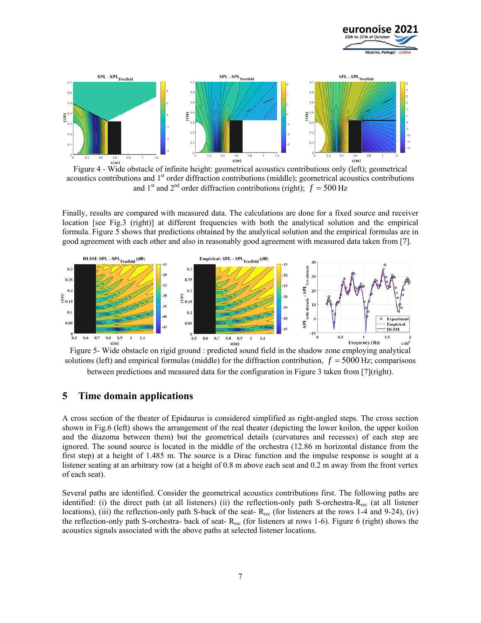



Figure 4 - Wide obstacle of infinite height: geometrical acoustics contributions only (left); geometrical acoustics contributions and 1<sup>st</sup> order diffraction contributions (middle); geometrical acoustics contributions and 1<sup>st</sup> and 2<sup>nd</sup> order diffraction contributions (right);  $f = 500$  Hz

Finally, results are compared with measured data. The calculations are done for a fixed source and receiver location [see Fig.3 (right)] at different frequencies with both the analytical solution and the empirical formula. Figure 5 shows that predictions obtained by the analytical solution and the empirical formulas are in good agreement with each other and also in reasonably good agreement with measured data taken from [7].





### **5 Time domain applications**

A cross section of the theater of Epidaurus is considered simplified as right-angled steps. The cross section shown in Fig.6 (left) shows the arrangement of the real theater (depicting the lower koilon, the upper koilon and the diazoma between them) but the geometrical details (curvatures and recesses) of each step are ignored. The sound source is located in the middle of the orchestra (12.86 m horizontal distance from the first step) at a height of 1.485 m. The source is a Dirac function and the impulse response is sought at a listener seating at an arbitrary row (at a height of 0.8 m above each seat and 0.2 m away from the front vertex of each seat).

Several paths are identified. Consider the geometrical acoustics contributions first. The following paths are identified: (i) the direct path (at all listeners) (ii) the reflection-only path S-orchestra-Rrec (at all listener locations), (iii) the reflection-only path S-back of the seat- $R_{\text{rec}}$  (for listeners at the rows 1-4 and 9-24), (iv) the reflection-only path S-orchestra- back of seat-  $R_{rec}$  (for listeners at rows 1-6). Figure 6 (right) shows the acoustics signals associated with the above paths at selected listener locations.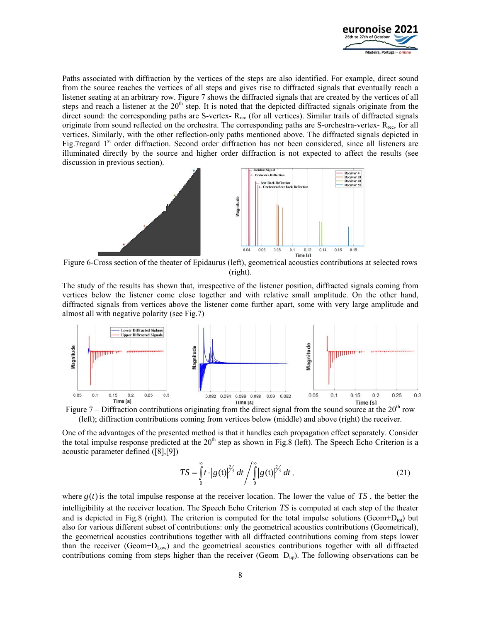

Paths associated with diffraction by the vertices of the steps are also identified. For example, direct sound from the source reaches the vertices of all steps and gives rise to diffracted signals that eventually reach a listener seating at an arbitrary row. Figure 7 shows the diffracted signals that are created by the vertices of all steps and reach a listener at the  $20<sup>th</sup>$  step. It is noted that the depicted diffracted signals originate from the direct sound: the corresponding paths are S-vertex- R<sub>rec</sub> (for all vertices). Similar trails of diffracted signals originate from sound reflected on the orchestra. The corresponding paths are S-orchestra-vertex- R<sub>rec</sub>, for all vertices. Similarly, with the other reflection-only paths mentioned above. The diffracted signals depicted in Fig.7regard  $1<sup>st</sup>$  order diffraction. Second order diffraction has not been considered, since all listeners are illuminated directly by the source and higher order diffraction is not expected to affect the results (see discussion in previous section).



Figure 6-Cross section of the theater of Epidaurus (left), geometrical acoustics contributions at selected rows (right).

The study of the results has shown that, irrespective of the listener position, diffracted signals coming from vertices below the listener come close together and with relative small amplitude. On the other hand, diffracted signals from vertices above the listener come further apart, some with very large amplitude and almost all with negative polarity (see Fig.7)



(left); diffraction contributions coming from vertices below (middle) and above (right) the receiver.

One of the advantages of the presented method is that it handles each propagation effect separately. Consider the total impulse response predicted at the  $20<sup>th</sup>$  step as shown in Fig.8 (left). The Speech Echo Criterion is a acoustic parameter defined ([8],[9])

$$
TS = \int_{0}^{\infty} t \cdot |g(t)|^{2/3} dt / \int_{0}^{\infty} |g(t)|^{2/3} dt,
$$
 (21)

where  $g(t)$  is the total impulse response at the receiver location. The lower the value of  $TS$ , the better the intelligibility at the receiver location. The Speech Echo Criterion *TS* is computed at each step of the theater and is depicted in Fig.8 (right). The criterion is computed for the total impulse solutions (Geom+ $D_{tot}$ ) but also for various different subset of contributions: only the geometrical acoustics contributions (Geometrical), the geometrical acoustics contributions together with all diffracted contributions coming from steps lower than the receiver (Geom+ $D_{Low}$ ) and the geometrical acoustics contributions together with all diffracted contributions coming from steps higher than the receiver (Geom+Dup). The following observations can be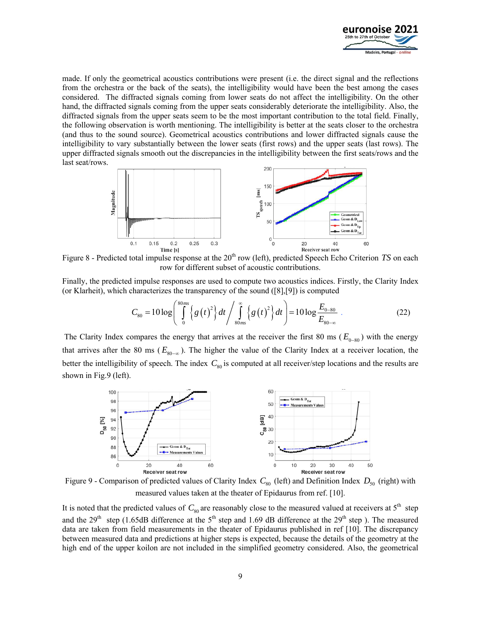

made. If only the geometrical acoustics contributions were present (i.e. the direct signal and the reflections from the orchestra or the back of the seats), the intelligibility would have been the best among the cases considered. The diffracted signals coming from lower seats do not affect the intelligibility. On the other hand, the diffracted signals coming from the upper seats considerably deteriorate the intelligibility. Also, the diffracted signals from the upper seats seem to be the most important contribution to the total field. Finally, the following observation is worth mentioning. The intelligibility is better at the seats closer to the orchestra (and thus to the sound source). Geometrical acoustics contributions and lower diffracted signals cause the intelligibility to vary substantially between the lower seats (first rows) and the upper seats (last rows). The upper diffracted signals smooth out the discrepancies in the intelligibility between the first seats/rows and the last seat/rows.



Figure 8 - Predicted total impulse response at the 20<sup>th</sup> row (left), predicted Speech Echo Criterion *TS* on each row for different subset of acoustic contributions.

Finally, the predicted impulse responses are used to compute two acoustics indices. Firstly, the Clarity Index (or Klarheit), which characterizes the transparency of the sound ([8],[9]) is computed

$$
C_{80} = 10 \log \left( \int_{0}^{80 \text{ms}} \left\{ g \left( t \right)^2 \right\} dt \Big/ \int_{80 \text{ms}}^{\infty} \left\{ g \left( t \right)^2 \right\} dt \right) = 10 \log \frac{E_{0-80}}{E_{80-\infty}} \ . \tag{22}
$$

The Clarity Index compares the energy that arrives at the receiver the first 80 ms ( $E_{0-80}$ ) with the energy that arrives after the 80 ms ( $E_{80-x}$ ). The higher the value of the Clarity Index at a receiver location, the better the intelligibility of speech. The index  $C_{80}$  is computed at all receiver/step locations and the results are shown in Fig.9 (left).



Figure 9 - Comparison of predicted values of Clarity Index  $C_{80}$  (left) and Definition Index  $D_{50}$  (right) with measured values taken at the theater of Epidaurus from ref. [10].

It is noted that the predicted values of  $C_{80}$  are reasonably close to the measured valued at receivers at  $5<sup>th</sup>$  step and the 29<sup>th</sup> step (1.65dB difference at the 5<sup>th</sup> step and 1.69 dB difference at the 29<sup>th</sup> step). The measured data are taken from field measurements in the theater of Epidaurus published in ref [10]. The discrepancy between measured data and predictions at higher steps is expected, because the details of the geometry at the high end of the upper koilon are not included in the simplified geometry considered. Also, the geometrical